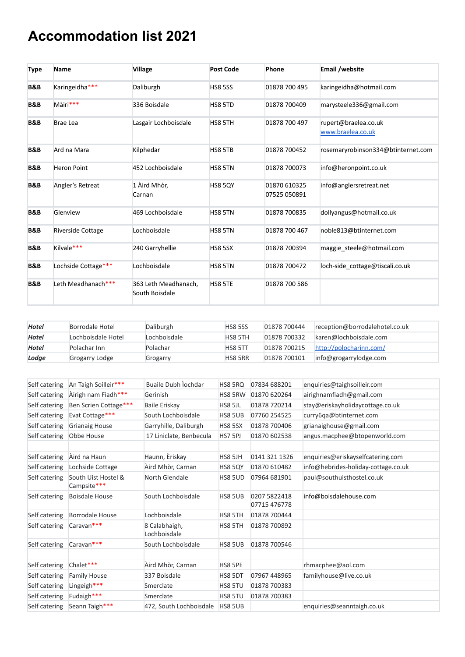## **Accommodation list 2021**

| <b>Type</b>    | <b>Name</b>              | <b>Village</b>                         | <b>Post Code</b> | Phone                        | <b>Email /website</b>                     |
|----------------|--------------------------|----------------------------------------|------------------|------------------------------|-------------------------------------------|
| <b>B&amp;B</b> | Karingeidha***           | Daliburgh                              | <b>HS8 5SS</b>   | 01878 700 495                | karingeidha@hotmail.com                   |
| <b>B&amp;B</b> | Màiri***                 | 336 Boisdale                           | HS8 5TD          | 01878 700409                 | marysteele336@gmail.com                   |
| <b>B&amp;B</b> | <b>Brae Lea</b>          | Lasgair Lochboisdale                   | HS8 5TH          | 01878 700 497                | rupert@braelea.co.uk<br>www.braelea.co.uk |
| <b>B&amp;B</b> | Ard na Mara              | Kilphedar                              | HS8 5TB          | 01878 700452                 | rosemaryrobinson334@btinternet.com        |
| <b>B&amp;B</b> | <b>Heron Point</b>       | 452 Lochboisdale                       | HS8 5TN          | 01878 700073                 | info@heronpoint.co.uk                     |
| <b>B&amp;B</b> | Angler's Retreat         | 1 Aird Mhòr,<br>Carnan                 | <b>HS8 5QY</b>   | 01870 610325<br>07525 050891 | info@anglersretreat.net                   |
| <b>B&amp;B</b> | Glenview                 | 469 Lochboisdale                       | HS8 5TN          | 01878 700835                 | dollyangus@hotmail.co.uk                  |
| <b>B&amp;B</b> | <b>Riverside Cottage</b> | Lochboisdale                           | HS8 5TN          | 01878 700 467                | noble813@btinternet.com                   |
| <b>B&amp;B</b> | Kilvale***               | 240 Garryhellie                        | <b>HS8 5SX</b>   | 01878 700394                 | maggie steele@hotmail.com                 |
| <b>B&amp;B</b> | Lochside Cottage***      | Lochboisdale                           | HS8 5TN          | 01878 700472                 | loch-side cottage@tiscali.co.uk           |
| <b>B&amp;B</b> | Leth Meadhanach***       | 363 Leth Meadhanach,<br>South Boisdale | HS8 5TE          | 01878 700 586                |                                           |

| Hotel        | Borrodale Hotel    | Daliburgh    | <b>HS8 5SS</b> | 01878 700444 | reception@borrodalehotel.co.uk |
|--------------|--------------------|--------------|----------------|--------------|--------------------------------|
| Hotel        | Lochboisdale Hotel | Lochboisdale | HS8 5TH        | 01878 700332 | karen@lochboisdale.com         |
| <b>Hotel</b> | Polachar Inn       | Polachar     | <b>HS8 5TT</b> | 01878 700215 | http://polocharinn.com/        |
| Lodge        | Grogarry Lodge     | Grogarry     | HS8 5RR        | 01878 700101 | info@grogarrylodge.com         |

| Self catering | An Taigh Soilleir***               | Buaile Dubh lochdar           | HS8 5RQ        | 07834 688201                 | enquiries@taighsoilleir.com         |
|---------------|------------------------------------|-------------------------------|----------------|------------------------------|-------------------------------------|
| Self catering | Airigh nam Fiadh***                | Gerinish                      | HS8 5RW        | 01870 620264                 | airighnamfiadh@gmail.com            |
| Self catering | Ben Scrien Cottage***              | <b>Baile Eriskay</b>          | HS8 5JL        | 01878 720214                 | stay@eriskayholidaycottage.co.uk    |
| Self catering | Evat Cottage***                    | South Lochboisdale            | HS8 5UB        | 07760 254525                 | curry6qa@btinternet.com             |
| Self catering | <b>Grianaig House</b>              | Garryhille, Daliburgh         | <b>HS8 5SX</b> | 01878 700406                 | grianaighouse@gmail.com             |
| Self catering | Obbe House                         | 17 Liniclate, Benbecula       | <b>HS7 5PJ</b> | 01870 602538                 | angus.macphee@btopenworld.com       |
|               |                                    |                               |                |                              |                                     |
| Self catering | Àird na Haun                       | Haunn, Eriskay                | HS8 5JH        | 0141 321 1326                | enquiries@eriskayselfcatering.com   |
| Self catering | Lochside Cottage                   | Àird Mhòr, Carnan             | HS8 5QY        | 01870 610482                 | info@hebrides-holiday-cottage.co.uk |
| Self catering | South Uist Hostel &<br>Campsite*** | North Glendale                | HS8 5UD        | 07964 681901                 | paul@southuisthostel.co.uk          |
| Self catering | <b>Boisdale House</b>              | South Lochboisdale            | HS8 5UB        | 0207 5822418<br>07715 476778 | info@boisdalehouse.com              |
| Self catering | <b>Borrodale House</b>             | Lochboisdale                  | HS8 5TH        | 01878 700444                 |                                     |
| Self catering | Caravan***                         | 8 Calabhaigh,<br>Lochboisdale | HS8 5TH        | 01878 700892                 |                                     |
| Self catering | Caravan***                         | South Lochboisdale            | HS8 5UB        | 01878 700546                 |                                     |
|               |                                    |                               |                |                              |                                     |
| Self catering | Chalet***                          | Àird Mhòr, Carnan             | HS8 5PE        |                              | rhmacphee@aol.com                   |
| Self catering | <b>Family House</b>                | 337 Boisdale                  | HS8 5DT        | 07967 448965                 | familyhouse@live.co.uk              |
| Self catering | Lingeigh***                        | Smerclate                     | HS8 5TU        | 01878 700383                 |                                     |
| Self catering | Fudaigh***                         | Smerclate                     | HS8 5TU        | 01878 700383                 |                                     |
| Self catering | Seann Taigh***                     | 472, South Lochboisdale       | HS8 5UB        |                              | enquiries@seanntaigh.co.uk          |
|               |                                    |                               |                |                              |                                     |